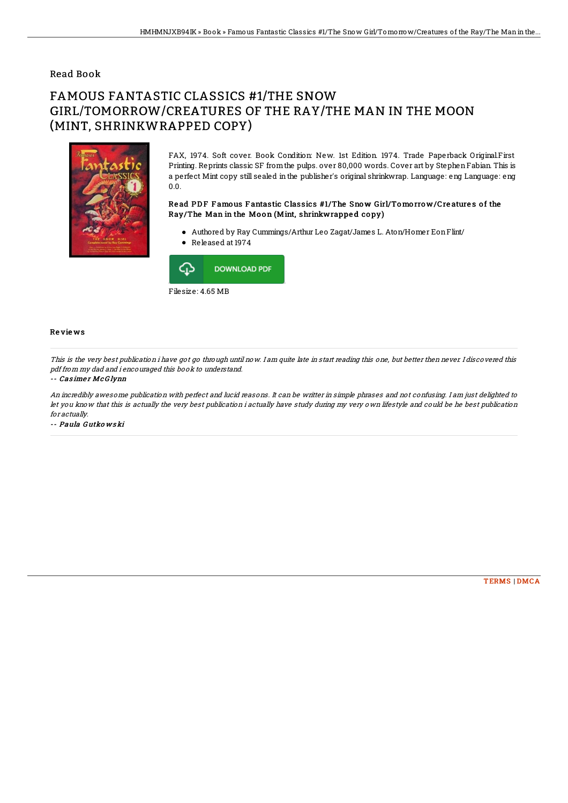## Read Book

# FAMOUS FANTASTIC CLASSICS #1/THE SNOW GIRL/TOMORROW/CREATURES OF THE RAY/THE MAN IN THE MOON (MINT, SHRINKWRAPPED COPY)



FAX, 1974. Soft cover. Book Condition: New. 1st Edition. 1974. Trade Paperback Original.First Printing. Reprints classic SF fromthe pulps. over 80,000 words. Cover art by StephenFabian. This is a perfect Mint copy still sealed in the publisher's original shrinkwrap. Language: eng Language: eng 0.0.

### Read PDF Famous Fantastic Classics #1/The Snow Girl/Tomorrow/Creatures of the Ray/The Man in the Moon (Mint, shrinkwrapped copy)

Authored by Ray Cummings/Arthur Leo Zagat/James L. Aton/Homer EonFlint/ Released at 1974



#### Re vie ws

This is the very best publication i have got go through until now. I am quite late in start reading this one, but better then never. I discovered this pdf from my dad and i encouraged this book to understand.

#### -- Cas ime <sup>r</sup> McG lynn

An incredibly awesome publication with perfect and lucid reasons. It can be writter in simple phrases and not confusing. I am just delighted to let you know that this is actually the very best publication i actually have study during my very own lifestyle and could be he best publication for actually.

-- Paula G utko ws ki